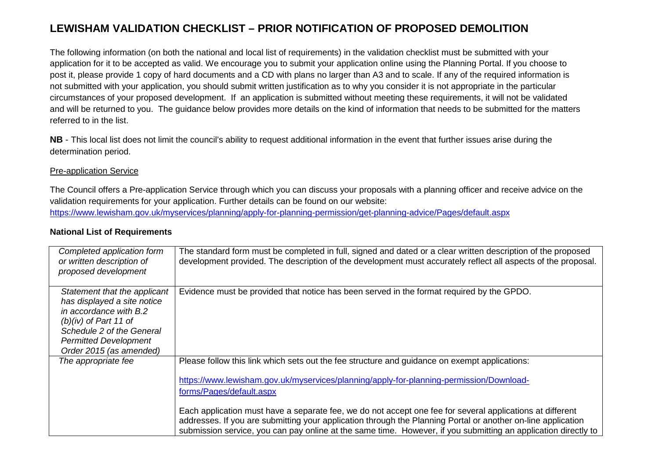## **LEWISHAM VALIDATION CHECKLIST – PRIOR NOTIFICATION OF PROPOSED DEMOLITION**

The following information (on both the national and local list of requirements) in the validation checklist must be submitted with your application for it to be accepted as valid. We encourage you to submit your application online using the Planning Portal. If you choose to post it, please provide 1 copy of hard documents and a CD with plans no larger than A3 and to scale. If any of the required information is not submitted with your application, you should submit written justification as to why you consider it is not appropriate in the particular circumstances of your proposed development. If an application is submitted without meeting these requirements, it will not be validated and will be returned to you. The guidance below provides more details on the kind of information that needs to be submitted for the matters referred to in the list.

**NB** - This local list does not limit the council's ability to request additional information in the event that further issues arise during the determination period.

## Pre-application Service

The Council offers a Pre-application Service through which you can discuss your proposals with a planning officer and receive advice on the validation requirements for your application. Further details can be found on our website: https://www.lewisham.gov.uk/myservices/planning/apply-for-planning-permission/get-planning-advice/Pages/default.aspx

| Completed application form<br>or written description of<br>proposed development                                                                                                                          | The standard form must be completed in full, signed and dated or a clear written description of the proposed<br>development provided. The description of the development must accurately reflect all aspects of the proposal.                                                                                                                                                                                                                                                                                                                                       |
|----------------------------------------------------------------------------------------------------------------------------------------------------------------------------------------------------------|---------------------------------------------------------------------------------------------------------------------------------------------------------------------------------------------------------------------------------------------------------------------------------------------------------------------------------------------------------------------------------------------------------------------------------------------------------------------------------------------------------------------------------------------------------------------|
| Statement that the applicant<br>has displayed a site notice<br>in accordance with B.2<br>$(b)(iv)$ of Part 11 of<br>Schedule 2 of the General<br><b>Permitted Development</b><br>Order 2015 (as amended) | Evidence must be provided that notice has been served in the format required by the GPDO.                                                                                                                                                                                                                                                                                                                                                                                                                                                                           |
| The appropriate fee                                                                                                                                                                                      | Please follow this link which sets out the fee structure and guidance on exempt applications:<br>https://www.lewisham.gov.uk/myservices/planning/apply-for-planning-permission/Download-<br>forms/Pages/default.aspx<br>Each application must have a separate fee, we do not accept one fee for several applications at different<br>addresses. If you are submitting your application through the Planning Portal or another on-line application<br>submission service, you can pay online at the same time. However, if you submitting an application directly to |

## **National List of Requirements**